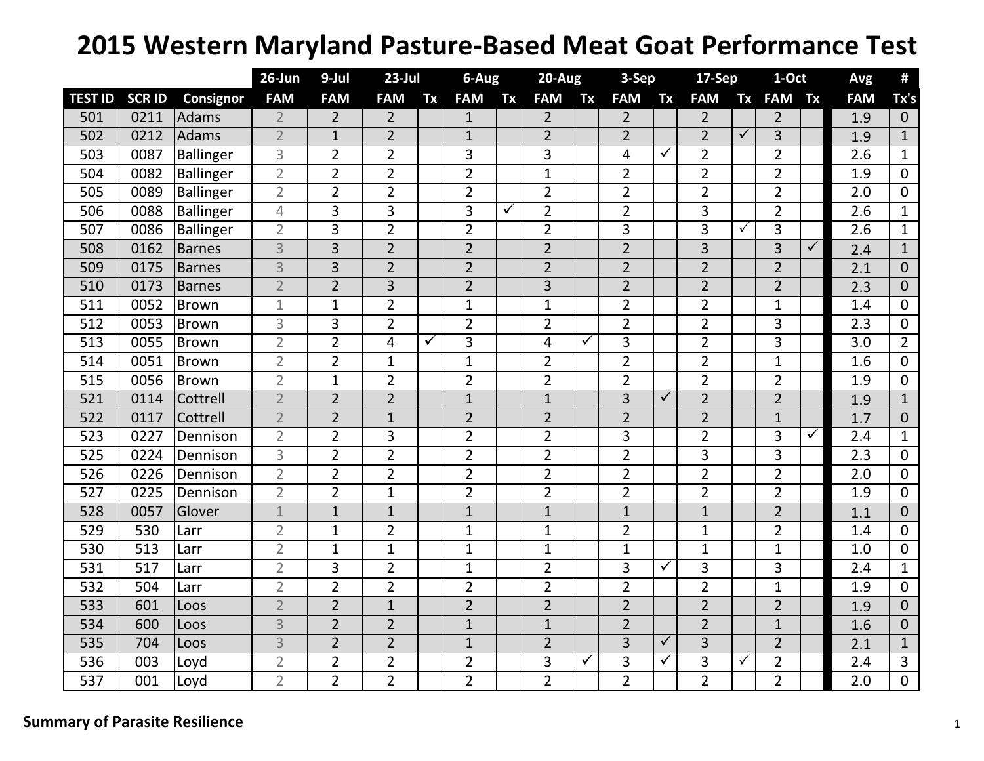## **2015 Western Maryland Pasture‐Based Meat Goat Performance Test**

|                  |              |                  | $26$ -Jun      | 9-Jul          | $23$ -Jul      |                         | 6-Aug          |              | $20 - Aug$     |    | 3-Sep          |              | <b>17-Sep</b>  |              | 1-Oct          |              | Avg              | #              |
|------------------|--------------|------------------|----------------|----------------|----------------|-------------------------|----------------|--------------|----------------|----|----------------|--------------|----------------|--------------|----------------|--------------|------------------|----------------|
| <b>TEST ID</b>   | <b>SCRID</b> | <b>Consignor</b> | <b>FAM</b>     | <b>FAM</b>     | <b>FAM</b>     | Tx                      | <b>FAM</b>     | Tx           | <b>FAM</b>     | Tx | <b>FAM</b>     | Tx           | <b>FAM</b>     | Tx           | <b>FAM</b>     | Tx           | <b>FAM</b>       | Tx's           |
| 501              | 0211         | Adams            | $\overline{2}$ | $\overline{2}$ | $\overline{2}$ |                         | $\mathbf{1}$   |              | $\overline{2}$ |    | $\overline{2}$ |              | $\overline{2}$ |              | $\overline{2}$ |              | 1.9              | $\overline{0}$ |
| 502              | 0212         | Adams            | $\overline{2}$ | $\mathbf{1}$   | $\overline{2}$ |                         | $\mathbf{1}$   |              | $\overline{2}$ |    | $\overline{2}$ |              | $\overline{2}$ | $\checkmark$ | 3              |              | 1.9              | $\mathbf{1}$   |
| 503              | 0087         | Ballinger        | 3              | $\overline{2}$ | $\overline{2}$ |                         | 3              |              | 3              |    | 4              | $\checkmark$ | $\overline{2}$ |              | $\overline{2}$ |              | 2.6              | $\mathbf{1}$   |
| 504              | 0082         | Ballinger        | $\overline{2}$ | $\overline{2}$ | $\overline{2}$ |                         | $\overline{2}$ |              | $\mathbf{1}$   |    | $\overline{2}$ |              | $\overline{2}$ |              | $\overline{2}$ |              | 1.9              | $\mathbf{0}$   |
| 505              | 0089         | <b>Ballinger</b> | $\overline{2}$ | $\overline{2}$ | $\overline{2}$ |                         | $\overline{2}$ |              | $\overline{2}$ |    | $\overline{2}$ |              | $\overline{2}$ |              | $\overline{2}$ |              | 2.0              | $\Omega$       |
| 506              | 0088         | <b>Ballinger</b> | $\overline{4}$ | 3              | 3              |                         | 3              | $\checkmark$ | $\overline{2}$ |    | $\overline{2}$ |              | 3              |              | $\overline{2}$ |              | 2.6              | $\mathbf{1}$   |
| 507              | 0086         | <b>Ballinger</b> | $\overline{2}$ | 3              | $\overline{2}$ |                         | $\overline{2}$ |              | $\overline{2}$ |    | 3              |              | 3              | $\checkmark$ | 3              |              | 2.6              | $\mathbf{1}$   |
| 508              | 0162         | <b>Barnes</b>    | $\overline{3}$ | $\overline{3}$ | $\overline{2}$ |                         | $\overline{2}$ |              | $\overline{2}$ |    | $\overline{2}$ |              | $\overline{3}$ |              | 3              | $\checkmark$ | 2.4              | $\mathbf{1}$   |
| 509              | 0175         | <b>Barnes</b>    | 3              | $\overline{3}$ | $\overline{2}$ |                         | $\overline{2}$ |              | $\overline{2}$ |    | $\overline{2}$ |              | $\overline{2}$ |              | $\overline{2}$ |              | 2.1              | $\Omega$       |
| 510              | 0173         | <b>Barnes</b>    | $\overline{2}$ | $\overline{2}$ | 3              |                         | $\overline{2}$ |              | 3              |    | $\overline{2}$ |              | $\overline{2}$ |              | $\overline{2}$ |              | 2.3              | $\Omega$       |
| 511              | 0052         | Brown            | 1              | $\mathbf{1}$   | $\overline{2}$ |                         | $\mathbf{1}$   |              | $\mathbf{1}$   |    | $\overline{2}$ |              | $\overline{2}$ |              | $\mathbf{1}$   |              | 1.4              | $\overline{0}$ |
| 512              | 0053         | <b>Brown</b>     | 3              | 3              | $\overline{2}$ |                         | $\overline{2}$ |              | $\overline{2}$ |    | $\overline{2}$ |              | $\overline{2}$ |              | 3              |              | 2.3              | $\mathbf 0$    |
| 513              | 0055         | <b>Brown</b>     | $\overline{2}$ | $\overline{2}$ | $\overline{4}$ | $\overline{\checkmark}$ | 3              |              | 4              | ✓  | 3              |              | $\overline{2}$ |              | 3              |              | 3.0              | $\overline{2}$ |
| 514              | 0051         | <b>Brown</b>     | $\overline{2}$ | $\overline{2}$ | $\mathbf{1}$   |                         | $\mathbf{1}$   |              | $\overline{2}$ |    | $\overline{2}$ |              | $\overline{2}$ |              | $\mathbf{1}$   |              | 1.6              | $\mathbf 0$    |
| 515              | 0056         | Brown            | $\overline{2}$ | $\mathbf{1}$   | $\overline{2}$ |                         | $\overline{2}$ |              | $\overline{2}$ |    | $\overline{2}$ |              | $\overline{2}$ |              | $\overline{2}$ |              | 1.9              | $\overline{0}$ |
| 521              | 0114         | Cottrell         | $\overline{2}$ | $\overline{2}$ | $\overline{2}$ |                         | $\mathbf{1}$   |              | $\mathbf{1}$   |    | 3              | $\checkmark$ | $\overline{2}$ |              | $\overline{2}$ |              | 1.9              | $\mathbf{1}$   |
| 522              | 0117         | Cottrell         | $\overline{2}$ | $\overline{2}$ | $\mathbf{1}$   |                         | $\overline{2}$ |              | $\overline{2}$ |    | $\overline{2}$ |              | $\overline{2}$ |              | $\mathbf{1}$   |              | 1.7              | $\overline{0}$ |
| 523              | 0227         | Dennison         | $\overline{2}$ | $\overline{2}$ | 3              |                         | $\overline{2}$ |              | $\overline{2}$ |    | 3              |              | $\overline{2}$ |              | 3              | $\checkmark$ | 2.4              | $\mathbf{1}$   |
| 525              | 0224         | Dennison         | 3              | $\overline{2}$ | $\overline{2}$ |                         | $\overline{2}$ |              | $\overline{2}$ |    | $\overline{2}$ |              | 3              |              | 3              |              | 2.3              | $\overline{0}$ |
| 526              | 0226         | Dennison         | $\overline{2}$ | $\overline{2}$ | $\overline{2}$ |                         | $\overline{2}$ |              | $\overline{2}$ |    | $\overline{2}$ |              | $\overline{2}$ |              | $\overline{2}$ |              | $\overline{2.0}$ | 0              |
| 527              | 0225         | Dennison         | $\overline{2}$ | $\overline{2}$ | $\mathbf{1}$   |                         | $\overline{2}$ |              | $\overline{2}$ |    | $\overline{2}$ |              | $\overline{2}$ |              | $\overline{2}$ |              | 1.9              | 0              |
| 528              | 0057         | Glover           | $\mathbf 1$    | $\mathbf{1}$   | $\mathbf{1}$   |                         | $\mathbf 1$    |              | $\mathbf{1}$   |    | $\mathbf{1}$   |              | $\mathbf{1}$   |              | $\overline{2}$ |              | 1.1              | $\Omega$       |
| 529              | 530          | Larr             | $\overline{2}$ | $\mathbf{1}$   | $\overline{2}$ |                         | $\mathbf{1}$   |              | $\mathbf{1}$   |    | $\overline{2}$ |              | $\mathbf{1}$   |              | $\overline{2}$ |              | 1.4              | 0              |
| 530              | 513          | Larr             | $\overline{2}$ | $\mathbf{1}$   | $\mathbf{1}$   |                         | $\mathbf{1}$   |              | $\mathbf{1}$   |    | $\mathbf{1}$   |              | $\mathbf{1}$   |              | $\mathbf{1}$   |              | 1.0              | $\overline{0}$ |
| 531              | 517          | Larr             | $\overline{2}$ | 3              | $\overline{2}$ |                         | $\mathbf{1}$   |              | $\overline{2}$ |    | 3              | $\checkmark$ | 3              |              | 3              |              | 2.4              | $\mathbf 1$    |
| 532              | 504          | Larr             | $\overline{2}$ | $\overline{2}$ | $\overline{2}$ |                         | $\overline{2}$ |              | $\overline{2}$ |    | $\overline{2}$ |              | $\overline{2}$ |              | $\mathbf{1}$   |              | 1.9              | $\mathbf 0$    |
| 533              | 601          | Loos             | $\overline{2}$ | $\overline{2}$ | $\mathbf{1}$   |                         | $\overline{2}$ |              | $\overline{2}$ |    | $\overline{2}$ |              | $\overline{2}$ |              | $\overline{2}$ |              | 1.9              | $\mathbf 0$    |
| 534              | 600          | Loos             | 3              | $\overline{2}$ | $\overline{2}$ |                         | $\mathbf{1}$   |              | $\mathbf{1}$   |    | $\overline{2}$ |              | $\overline{2}$ |              | $\mathbf{1}$   |              | 1.6              | $\Omega$       |
| 535              | 704          | Loos             | 3              | $\overline{2}$ | $\overline{2}$ |                         | $\mathbf{1}$   |              | $\overline{2}$ |    | 3              | $\checkmark$ | 3              |              | $\overline{2}$ |              | 2.1              | $\mathbf{1}$   |
| 536              | 003          | Loyd             | $\overline{2}$ | $\overline{2}$ | $\overline{2}$ |                         | $\overline{2}$ |              | 3              | ✓  | 3              | $\checkmark$ | 3              | $\checkmark$ | $\overline{2}$ |              | 2.4              | 3              |
| $\overline{537}$ | 001          | Loyd             | $\overline{2}$ | $\overline{2}$ | $\overline{2}$ |                         | $\overline{2}$ |              | $\overline{2}$ |    | $\overline{2}$ |              | $\overline{2}$ |              | $\overline{2}$ |              | $\overline{2.0}$ | $\overline{0}$ |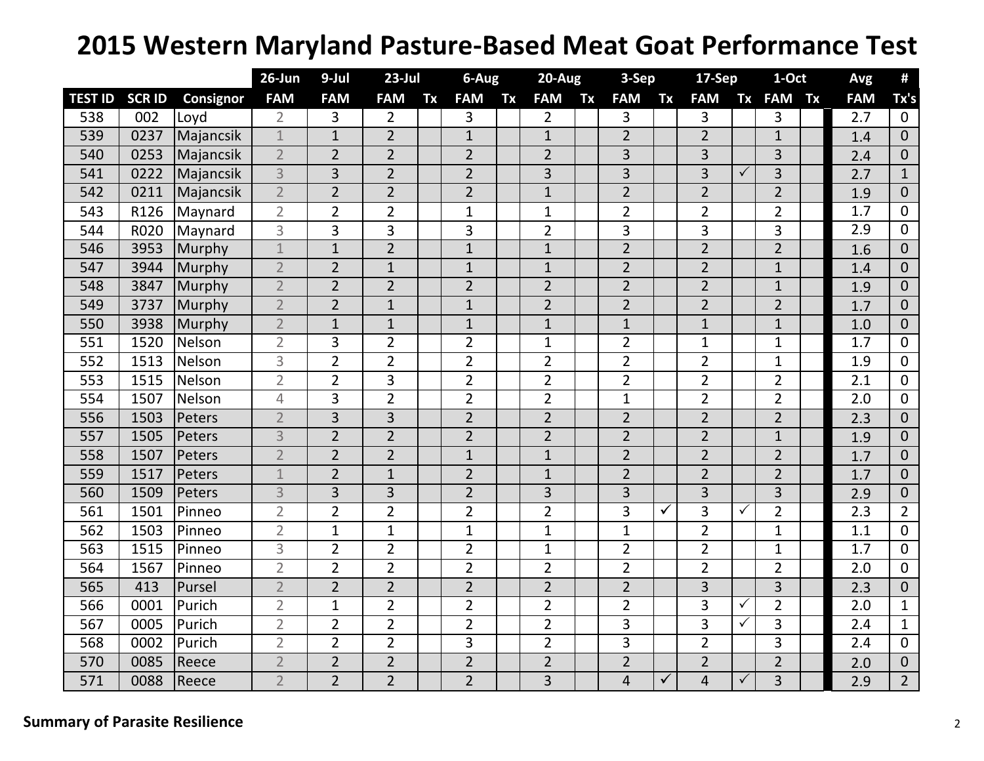## **2015 Western Maryland Pasture‐Based Meat Goat Performance Test**

|                |               |           | 26-Jun         | 9-Jul          | $23$ -Jul      |    | $6 - Aug$      |    | $20-Aug$       |    | 3-Sep          |              | 17-Sep         |              | 1-Oct          |  | Avg        | #              |
|----------------|---------------|-----------|----------------|----------------|----------------|----|----------------|----|----------------|----|----------------|--------------|----------------|--------------|----------------|--|------------|----------------|
| <b>TEST ID</b> | <b>SCR ID</b> | Consignor | <b>FAM</b>     | <b>FAM</b>     | <b>FAM</b>     | Tx | <b>FAM</b>     | Tx | <b>FAM</b>     | Tx | <b>FAM</b>     | Tx           | <b>FAM</b>     | <b>Tx</b>    | <b>FAM Tx</b>  |  | <b>FAM</b> | Tx's           |
| 538            | 002           | Loyd      | $\overline{2}$ | 3              | $\overline{2}$ |    | 3              |    | $\overline{2}$ |    | 3              |              | 3              |              | 3              |  | 2.7        | $\overline{0}$ |
| 539            | 0237          | Majancsik | $\mathbf{1}$   | $\mathbf{1}$   | $\overline{2}$ |    | $\mathbf{1}$   |    | $\mathbf{1}$   |    | $\overline{2}$ |              | $\overline{2}$ |              | $\mathbf{1}$   |  | 1.4        | $\overline{0}$ |
| 540            | 0253          | Majancsik | $\overline{2}$ | $\overline{2}$ | $\overline{2}$ |    | $\overline{2}$ |    | $\overline{2}$ |    | 3              |              | 3              |              | 3              |  | 2.4        | $\overline{0}$ |
| 541            | 0222          | Majancsik | $\overline{3}$ | 3              | $\overline{2}$ |    | $\overline{2}$ |    | 3              |    | $\overline{3}$ |              | $\overline{3}$ | ✓            | $\overline{3}$ |  | 2.7        | $\mathbf{1}$   |
| 542            | 0211          | Majancsik | $\overline{2}$ | $\overline{2}$ | $\overline{2}$ |    | $\overline{2}$ |    | $\mathbf{1}$   |    | $\overline{2}$ |              | $\overline{2}$ |              | $\overline{2}$ |  | 1.9        | $\Omega$       |
| 543            | R126          | Maynard   | $\overline{2}$ | $\overline{2}$ | $\overline{2}$ |    | $\mathbf{1}$   |    | $\mathbf{1}$   |    | $\overline{2}$ |              | $\overline{2}$ |              | $\overline{2}$ |  | 1.7        | $\overline{0}$ |
| 544            | R020          | Maynard   | 3              | 3              | 3              |    | 3              |    | $\overline{2}$ |    | 3              |              | 3              |              | 3              |  | 2.9        | $\mathbf 0$    |
| 546            | 3953          | Murphy    | $\mathbf 1$    | $\mathbf{1}$   | $\overline{2}$ |    | $\mathbf{1}$   |    | $\mathbf{1}$   |    | $\overline{2}$ |              | $\overline{2}$ |              | $\overline{2}$ |  | 1.6        | $\overline{0}$ |
| 547            | 3944          | Murphy    | $\overline{2}$ | $\overline{2}$ | $\mathbf{1}$   |    | $\mathbf{1}$   |    | $\mathbf{1}$   |    | $\overline{2}$ |              | $\overline{2}$ |              | $\mathbf{1}$   |  | 1.4        | $\overline{0}$ |
| 548            | 3847          | Murphy    | $\overline{2}$ | $\overline{2}$ | $\overline{2}$ |    | $\overline{2}$ |    | $\overline{2}$ |    | $\overline{2}$ |              | $\overline{2}$ |              | $\mathbf{1}$   |  | 1.9        | $\mathbf{0}$   |
| 549            | 3737          | Murphy    | $\overline{2}$ | $\overline{2}$ | $\mathbf{1}$   |    | $\mathbf{1}$   |    | $\overline{2}$ |    | $\overline{2}$ |              | $\overline{2}$ |              | $\overline{2}$ |  | 1.7        | $\overline{0}$ |
| 550            | 3938          | Murphy    | $\overline{2}$ | $\mathbf{1}$   | $\mathbf{1}$   |    | $\mathbf{1}$   |    | $\mathbf{1}$   |    | $\mathbf{1}$   |              | $\mathbf{1}$   |              | $\mathbf{1}$   |  | 1.0        | $\overline{0}$ |
| 551            | 1520          | Nelson    | $\overline{2}$ | 3              | $\overline{2}$ |    | $\overline{2}$ |    | $\mathbf{1}$   |    | $\overline{2}$ |              | $\mathbf{1}$   |              | $\mathbf{1}$   |  | 1.7        | $\Omega$       |
| 552            | 1513          | Nelson    | 3              | $\overline{2}$ | $\overline{2}$ |    | $\overline{2}$ |    | $\overline{2}$ |    | $\overline{2}$ |              | $\overline{2}$ |              | $\mathbf 1$    |  | 1.9        | $\overline{0}$ |
| 553            | 1515          | Nelson    | $\overline{2}$ | $\overline{2}$ | 3              |    | $\overline{2}$ |    | $\overline{2}$ |    | $\overline{2}$ |              | $\overline{2}$ |              | $\overline{2}$ |  | 2.1        | $\mathbf 0$    |
| 554            | 1507          | Nelson    | 4              | $\overline{3}$ | $\overline{2}$ |    | $\overline{2}$ |    | $\overline{2}$ |    | $\mathbf{1}$   |              | $\overline{2}$ |              | $\overline{2}$ |  | 2.0        | $\mathbf 0$    |
| 556            | 1503          | Peters    | $\overline{2}$ | $\overline{3}$ | $\overline{3}$ |    | $\overline{2}$ |    | $\overline{2}$ |    | $\overline{2}$ |              | $\overline{2}$ |              | $\overline{2}$ |  | 2.3        | $\overline{0}$ |
| 557            | 1505          | Peters    | 3              | $\overline{2}$ | $\overline{2}$ |    | $\overline{2}$ |    | $\overline{2}$ |    | $\overline{2}$ |              | $\overline{2}$ |              | $\mathbf{1}$   |  | 1.9        | $\overline{0}$ |
| 558            | 1507          | Peters    | $\overline{2}$ | $\overline{2}$ | $\overline{2}$ |    | $\mathbf{1}$   |    | $\mathbf{1}$   |    | $\overline{2}$ |              | $\overline{2}$ |              | $\overline{2}$ |  | 1.7        | $\overline{0}$ |
| 559            | 1517          | Peters    | $\mathbf{1}$   | $\overline{2}$ | $\mathbf{1}$   |    | $\overline{2}$ |    | $\mathbf{1}$   |    | $\overline{2}$ |              | $\overline{2}$ |              | $\overline{2}$ |  | 1.7        | $\overline{0}$ |
| 560            | 1509          | Peters    | 3              | $\overline{3}$ | 3              |    | $\overline{2}$ |    | 3              |    | 3              |              | 3              |              | 3              |  | 2.9        | $\overline{0}$ |
| 561            | 1501          | Pinneo    | $\overline{2}$ | $\overline{2}$ | $\overline{2}$ |    | $\overline{2}$ |    | $\overline{2}$ |    | 3              | $\checkmark$ | 3              | ✓            | $\overline{2}$ |  | 2.3        | $\overline{2}$ |
| 562            | 1503          | Pinneo    | $\overline{2}$ | 1              | $\mathbf{1}$   |    | $\mathbf{1}$   |    | $\mathbf{1}$   |    | $\mathbf{1}$   |              | $\overline{2}$ |              | $\mathbf{1}$   |  | 1.1        | $\overline{0}$ |
| 563            | 1515          | Pinneo    | $\overline{3}$ | $\overline{2}$ | $\overline{2}$ |    | $\overline{2}$ |    | $\mathbf{1}$   |    | $\overline{2}$ |              | $\overline{2}$ |              | $\mathbf{1}$   |  | 1.7        | $\mathbf 0$    |
| 564            | 1567          | Pinneo    | $\overline{2}$ | $\overline{2}$ | $\overline{2}$ |    | $\overline{2}$ |    | $\overline{2}$ |    | $\overline{2}$ |              | $\overline{2}$ |              | $\overline{2}$ |  | 2.0        | $\mathbf 0$    |
| 565            | 413           | Pursel    | $\overline{2}$ | $\overline{2}$ | $\overline{2}$ |    | $\overline{2}$ |    | $\overline{2}$ |    | $\overline{2}$ |              | 3              |              | 3              |  | 2.3        | $\overline{0}$ |
| 566            | 0001          | Purich    | $\overline{2}$ | $\mathbf 1$    | $\overline{2}$ |    | $\overline{2}$ |    | $\overline{2}$ |    | $\overline{2}$ |              | 3              | ✓            | $\overline{2}$ |  | 2.0        | $\mathbf{1}$   |
| 567            | 0005          | Purich    | $\overline{2}$ | $\overline{2}$ | $\overline{2}$ |    | $\overline{2}$ |    | $\overline{2}$ |    | 3              |              | $\overline{3}$ | $\checkmark$ | 3              |  | 2.4        | $\mathbf{1}$   |
| 568            | 0002          | Purich    | $\overline{2}$ | $\overline{2}$ | $\overline{2}$ |    | 3              |    | $\overline{2}$ |    | 3              |              | $\overline{2}$ |              | 3              |  | 2.4        | $\mathbf 0$    |
| 570            | 0085          | Reece     | $\overline{2}$ | $\overline{2}$ | $\overline{2}$ |    | $\overline{2}$ |    | $\overline{2}$ |    | $\overline{2}$ |              | $\overline{2}$ |              | $\overline{2}$ |  | 2.0        | $\mathbf{0}$   |
| 571            | 0088          | Reece     | $\overline{2}$ | $\overline{2}$ | $\overline{2}$ |    | $\overline{2}$ |    | $\overline{3}$ |    | $\overline{4}$ | ✓            | $\overline{4}$ | ✓            | $\overline{3}$ |  | 2.9        | $\overline{2}$ |